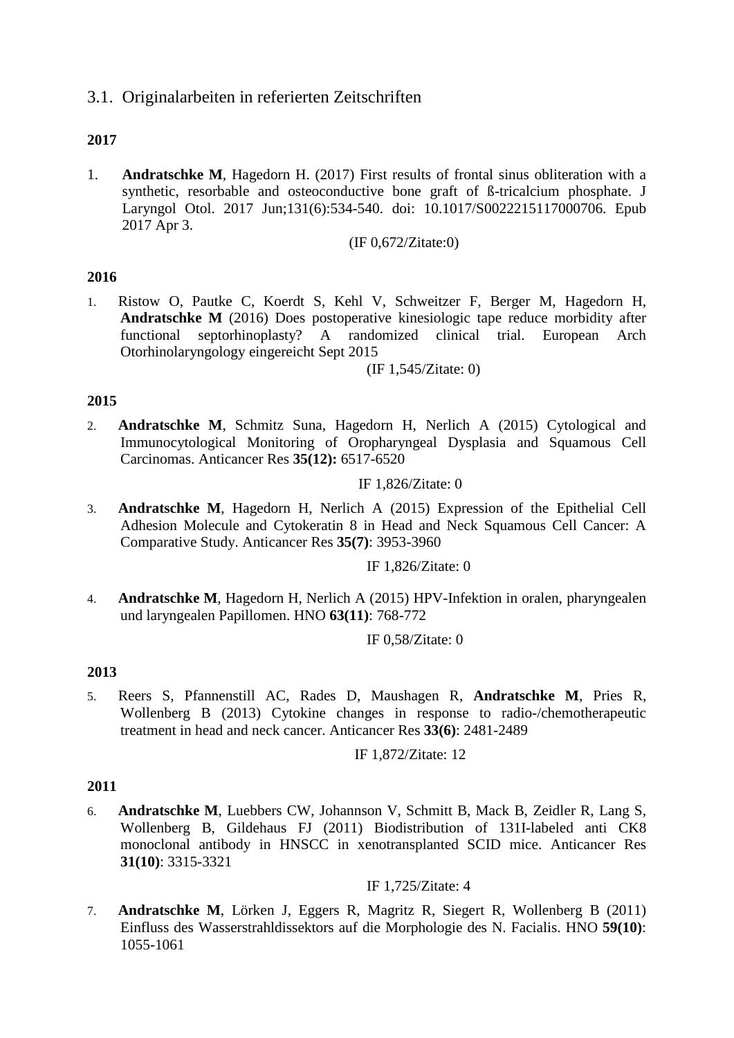# 3.1. Originalarbeiten in referierten Zeitschriften

# **2017**

1. **Andratschke M**, Hagedorn H. (2017) [First results of frontal sinus obliteration with a](https://www.ncbi.nlm.nih.gov/pubmed/28366182)  [synthetic, resorbable and osteoconductive](https://www.ncbi.nlm.nih.gov/pubmed/28366182) bone graft of ß-tricalcium phosphate. J Laryngol Otol. 2017 Jun;131(6):534-540. doi: 10.1017/S0022215117000706. Epub 2017 Apr 3.

(IF 0,672/Zitate:0)

## **2016**

1. Ristow O, Pautke C, Koerdt S, Kehl V, Schweitzer F, Berger M, Hagedorn H, **Andratschke M** (2016) Does postoperative kinesiologic tape reduce morbidity after functional septorhinoplasty? A randomized clinical trial. European Arch Otorhinolaryngology eingereicht Sept 2015

(IF 1,545/Zitate: 0)

## **2015**

2. **Andratschke M**, Schmitz Suna, Hagedorn H, Nerlich A (2015) Cytological and Immunocytological Monitoring of Oropharyngeal Dysplasia and Squamous Cell Carcinomas. Anticancer Res **35(12):** 6517-6520

### IF 1,826/Zitate: 0

3. **Andratschke M**, Hagedorn H, Nerlich A (2015) Expression of the Epithelial Cell Adhesion Molecule and Cytokeratin 8 in Head and Neck Squamous Cell Cancer: A Comparative Study. Anticancer Res **35(7)**: 3953-3960

IF 1,826/Zitate: 0

4. **Andratschke M**, Hagedorn H, Nerlich A (2015) HPV-Infektion in oralen, pharyngealen und laryngealen Papillomen. HNO **63(11)**: 768-772

IF 0,58/Zitate: 0

# **2013**

5. Reers S, Pfannenstill AC, Rades D, Maushagen R, **Andratschke M**, Pries R, Wollenberg B (2013) Cytokine changes in response to radio-/chemotherapeutic treatment in head and neck cancer. Anticancer Res **33(6)**: 2481-2489

IF 1,872/Zitate: 12

### **2011**

6. **Andratschke M**, Luebbers CW, Johannson V, Schmitt B, Mack B, Zeidler R, Lang S, Wollenberg B, Gildehaus FJ (2011) Biodistribution of 131I-labeled anti CK8 monoclonal antibody in HNSCC in xenotransplanted SCID mice. Anticancer Res **31(10)**: 3315-3321

### IF 1,725/Zitate: 4

7. **Andratschke M**, Lörken J, Eggers R, Magritz R, Siegert R, Wollenberg B (2011) Einfluss des Wasserstrahldissektors auf die Morphologie des N. Facialis. HNO **59(10)**: 1055-1061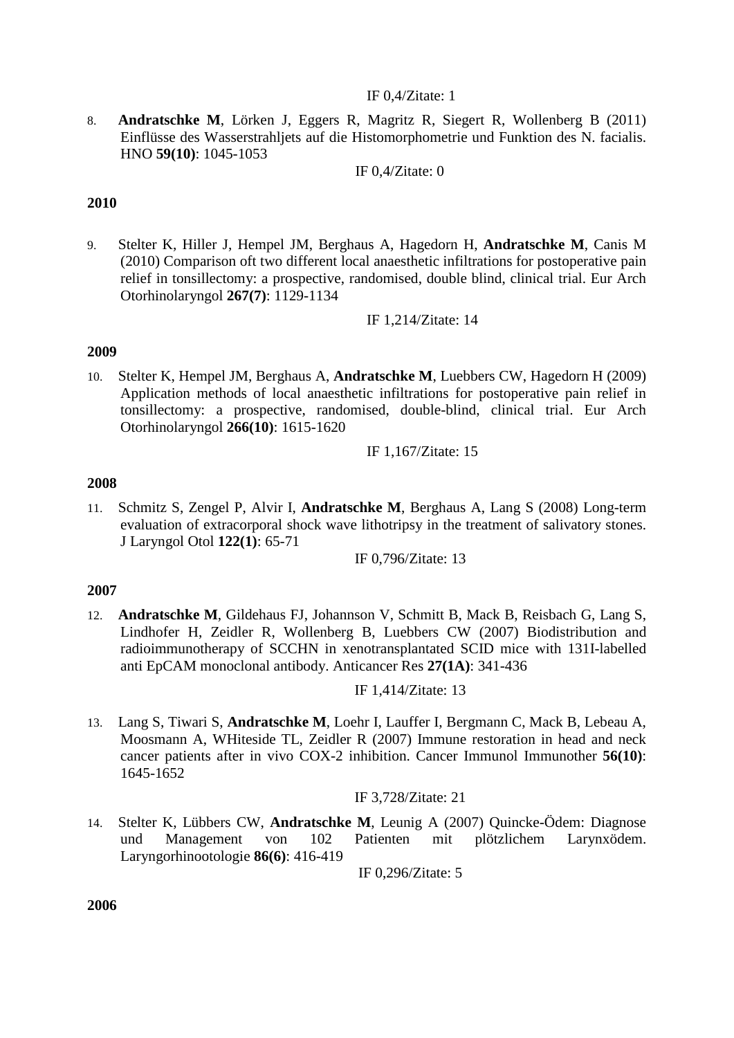## IF 0,4/Zitate: 1

8. **Andratschke M**, Lörken J, Eggers R, Magritz R, Siegert R, Wollenberg B (2011) Einflüsse des Wasserstrahljets auf die Histomorphometrie und Funktion des N. facialis. HNO **59(10)**: 1045-1053

IF 0,4/Zitate: 0

## **2010**

9. Stelter K, Hiller J, Hempel JM, Berghaus A, Hagedorn H, **Andratschke M**, Canis M (2010) Comparison oft two different local anaesthetic infiltrations for postoperative pain relief in tonsillectomy: a prospective, randomised, double blind, clinical trial. Eur Arch Otorhinolaryngol **267(7)**: 1129-1134

IF 1,214/Zitate: 14

## **2009**

10. Stelter K, Hempel JM, Berghaus A, **Andratschke M**, Luebbers CW, Hagedorn H (2009) Application methods of local anaesthetic infiltrations for postoperative pain relief in tonsillectomy: a prospective, randomised, double-blind, clinical trial. Eur Arch Otorhinolaryngol **266(10)**: 1615-1620

IF 1,167/Zitate: 15

## **2008**

11. Schmitz S, Zengel P, Alvir I, **Andratschke M**, Berghaus A, Lang S (2008) Long-term evaluation of extracorporal shock wave lithotripsy in the treatment of salivatory stones. J Laryngol Otol **122(1)**: 65-71

IF 0,796/Zitate: 13

# **2007**

12. **Andratschke M**, Gildehaus FJ, Johannson V, Schmitt B, Mack B, Reisbach G, Lang S, Lindhofer H, Zeidler R, Wollenberg B, Luebbers CW (2007) Biodistribution and radioimmunotherapy of SCCHN in xenotransplantated SCID mice with 131I-labelled anti EpCAM monoclonal antibody. Anticancer Res **27(1A)**: 341-436

IF 1,414/Zitate: 13

13. Lang S, Tiwari S, **Andratschke M**, Loehr I, Lauffer I, Bergmann C, Mack B, Lebeau A, Moosmann A, WHiteside TL, Zeidler R (2007) Immune restoration in head and neck cancer patients after in vivo COX-2 inhibition. Cancer Immunol Immunother **56(10)**: 1645-1652

IF 3,728/Zitate: 21

14. Stelter K, Lübbers CW, **Andratschke M**, Leunig A (2007) Quincke-Ödem: Diagnose und Management von 102 Patienten mit plötzlichem Larynxödem. Laryngorhinootologie **86(6)**: 416-419

IF 0,296/Zitate: 5

**2006**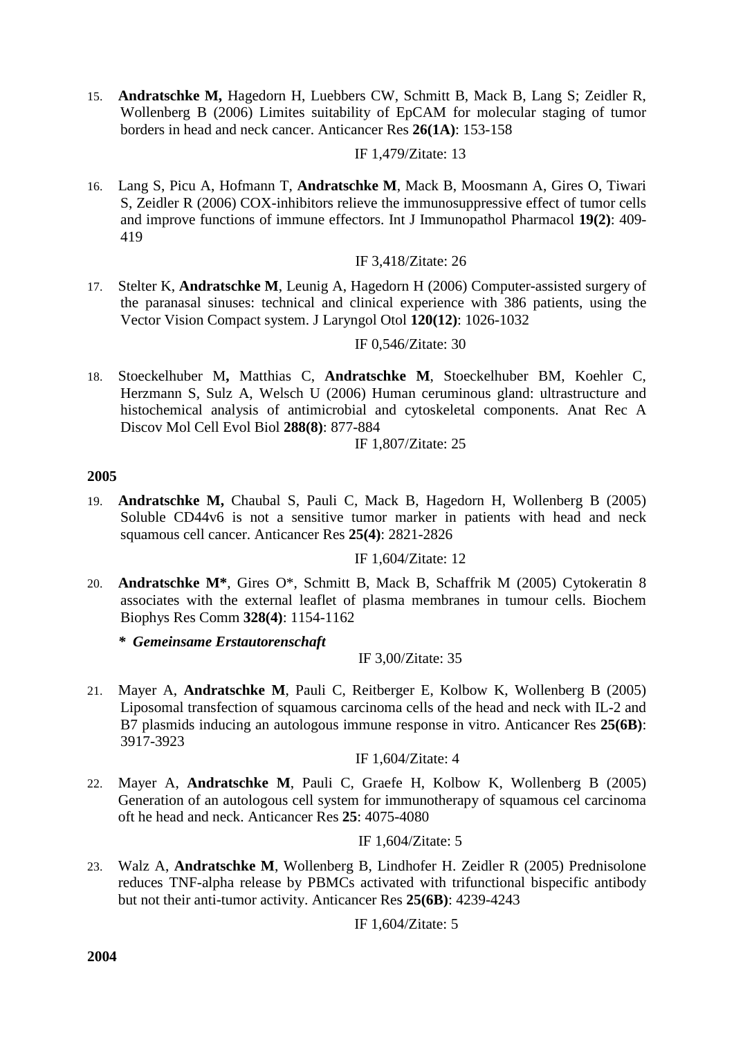15. **Andratschke M,** Hagedorn H, Luebbers CW, Schmitt B, Mack B, Lang S; Zeidler R, Wollenberg B (2006) Limites suitability of EpCAM for molecular staging of tumor borders in head and neck cancer. Anticancer Res **26(1A)**: 153-158

## IF 1,479/Zitate: 13

16. Lang S, Picu A, Hofmann T, **Andratschke M**, Mack B, Moosmann A, Gires O, Tiwari S, Zeidler R (2006) COX-inhibitors relieve the immunosuppressive effect of tumor cells and improve functions of immune effectors. Int J Immunopathol Pharmacol **19(2)**: 409- 419

# IF 3,418/Zitate: 26

17. Stelter K, **Andratschke M**, Leunig A, Hagedorn H (2006) Computer-assisted surgery of the paranasal sinuses: technical and clinical experience with 386 patients, using the Vector Vision Compact system. J Laryngol Otol **120(12)**: 1026-1032

## IF 0,546/Zitate: 30

18. Stoeckelhuber M**,** Matthias C, **Andratschke M**, Stoeckelhuber BM, Koehler C, Herzmann S, Sulz A, Welsch U (2006) Human ceruminous gland: ultrastructure and histochemical analysis of antimicrobial and cytoskeletal components. Anat Rec A Discov Mol Cell Evol Biol **288(8)**: 877-884

IF 1,807/Zitate: 25

## **2005**

19. **Andratschke M,** Chaubal S, Pauli C, Mack B, Hagedorn H, Wollenberg B (2005) Soluble CD44v6 is not a sensitive tumor marker in patients with head and neck squamous cell cancer. Anticancer Res **25(4)**: 2821-2826

### IF 1,604/Zitate: 12

20. **Andratschke M\***, Gires O\*, Schmitt B, Mack B, Schaffrik M (2005) Cytokeratin 8 associates with the external leaflet of plasma membranes in tumour cells. Biochem Biophys Res Comm **328(4)**: 1154-1162

*\* Gemeinsame Erstautorenschaft*

# IF 3,00/Zitate: 35

21. Mayer A, **Andratschke M**, Pauli C, Reitberger E, Kolbow K, Wollenberg B (2005) Liposomal transfection of squamous carcinoma cells of the head and neck with IL-2 and B7 plasmids inducing an autologous immune response in vitro. Anticancer Res **25(6B)**: 3917-3923

IF 1,604/Zitate: 4

22. Mayer A, **Andratschke M**, Pauli C, Graefe H, Kolbow K, Wollenberg B (2005) Generation of an autologous cell system for immunotherapy of squamous cel carcinoma oft he head and neck. Anticancer Res **25**: 4075-4080

IF 1,604/Zitate: 5

23. Walz A, **Andratschke M**, Wollenberg B, Lindhofer H. Zeidler R (2005) Prednisolone reduces TNF-alpha release by PBMCs activated with trifunctional bispecific antibody but not their anti-tumor activity. Anticancer Res **25(6B)**: 4239-4243

IF 1,604/Zitate: 5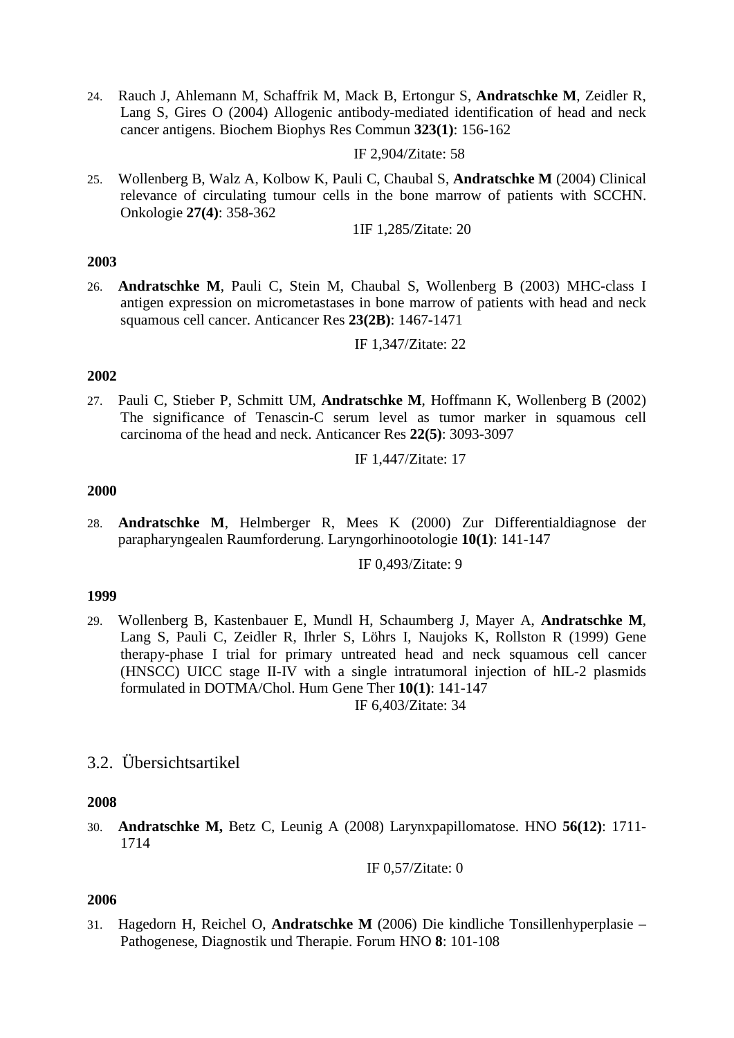24. Rauch J, Ahlemann M, Schaffrik M, Mack B, Ertongur S, **Andratschke M**, Zeidler R, Lang S, Gires O (2004) Allogenic antibody-mediated identification of head and neck cancer antigens. Biochem Biophys Res Commun **323(1)**: 156-162

IF 2,904/Zitate: 58

25. Wollenberg B, Walz A, Kolbow K, Pauli C, Chaubal S, **Andratschke M** (2004) Clinical relevance of circulating tumour cells in the bone marrow of patients with SCCHN. Onkologie **27(4)**: 358-362

1IF 1,285/Zitate: 20

### **2003**

26. **Andratschke M**, Pauli C, Stein M, Chaubal S, Wollenberg B (2003) MHC-class I antigen expression on micrometastases in bone marrow of patients with head and neck squamous cell cancer. Anticancer Res **23(2B)**: 1467-1471

IF 1,347/Zitate: 22

### **2002**

27. Pauli C, Stieber P, Schmitt UM, **Andratschke M**, Hoffmann K, Wollenberg B (2002) The significance of Tenascin-C serum level as tumor marker in squamous cell carcinoma of the head and neck. Anticancer Res **22(5)**: 3093-3097

IF 1,447/Zitate: 17

### **2000**

28. **Andratschke M**, Helmberger R, Mees K (2000) Zur Differentialdiagnose der parapharyngealen Raumforderung. Laryngorhinootologie **10(1)**: 141-147

IF 0,493/Zitate: 9

### **1999**

29. Wollenberg B, Kastenbauer E, Mundl H, Schaumberg J, Mayer A, **Andratschke M**, Lang S, Pauli C, Zeidler R, Ihrler S, Löhrs I, Naujoks K, Rollston R (1999) Gene therapy-phase I trial for primary untreated head and neck squamous cell cancer (HNSCC) UICC stage II-IV with a single intratumoral injection of hIL-2 plasmids formulated in DOTMA/Chol. Hum Gene Ther **10(1)**: 141-147 IF 6,403/Zitate: 34

# 3.2. Übersichtsartikel

### **2008**

30. **Andratschke M,** Betz C, Leunig A (2008) Larynxpapillomatose. HNO **56(12)**: 1711- 1714

IF 0,57/Zitate: 0

### **2006**

31. Hagedorn H, Reichel O, **Andratschke M** (2006) Die kindliche Tonsillenhyperplasie – Pathogenese, Diagnostik und Therapie. Forum HNO **8**: 101-108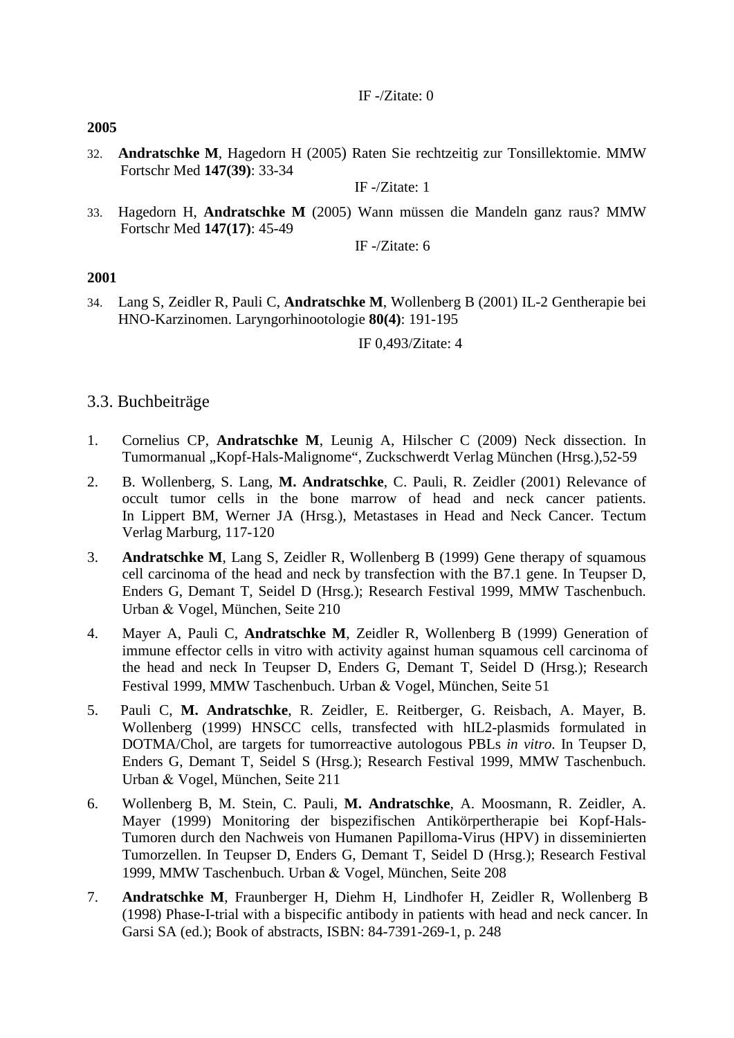**2005**

32. **Andratschke M**, Hagedorn H (2005) Raten Sie rechtzeitig zur Tonsillektomie. MMW Fortschr Med **147(39)**: 33-34

IF -/Zitate: 1

33. Hagedorn H, **Andratschke M** (2005) Wann müssen die Mandeln ganz raus? MMW Fortschr Med **147(17)**: 45-49

IF -/Zitate: 6

## **2001**

34. Lang S, Zeidler R, Pauli C, **Andratschke M**, Wollenberg B (2001) IL-2 Gentherapie bei HNO-Karzinomen. Laryngorhinootologie **80(4)**: 191-195

IF 0,493/Zitate: 4

# 3.3. Buchbeiträge

- 1. Cornelius CP, **Andratschke M**, Leunig A, Hilscher C (2009) Neck dissection. In Tumormanual "Kopf-Hals-Malignome", Zuckschwerdt Verlag München (Hrsg.),52-59
- 2. B. Wollenberg, S. Lang, **M. Andratschke**, C. Pauli, R. Zeidler (2001) Relevance of occult tumor cells in the bone marrow of head and neck cancer patients. In Lippert BM, Werner JA (Hrsg.), Metastases in Head and Neck Cancer. Tectum Verlag Marburg, 117-120
- 3. **Andratschke M**, Lang S, Zeidler R, Wollenberg B (1999) Gene therapy of squamous cell carcinoma of the head and neck by transfection with the B7.1 gene. In Teupser D, Enders G, Demant T, Seidel D (Hrsg.); Research Festival 1999, MMW Taschenbuch. Urban & Vogel, München, Seite 210
- 4. Mayer A, Pauli C, **Andratschke M**, Zeidler R, Wollenberg B (1999) Generation of immune effector cells in vitro with activity against human squamous cell carcinoma of the head and neck In Teupser D, Enders G, Demant T, Seidel D (Hrsg.); Research Festival 1999, MMW Taschenbuch. Urban & Vogel, München, Seite 51
- 5. Pauli C, **M. Andratschke**, R. Zeidler, E. Reitberger, G. Reisbach, A. Mayer, B. Wollenberg (1999) HNSCC cells, transfected with hIL2-plasmids formulated in DOTMA/Chol, are targets for tumorreactive autologous PBLs *in vitro*. In Teupser D, Enders G, Demant T, Seidel S (Hrsg.); Research Festival 1999, MMW Taschenbuch. Urban & Vogel, München, Seite 211
- 6. Wollenberg B, M. Stein, C. Pauli, **M. Andratschke**, A. Moosmann, R. Zeidler, A. Mayer (1999) Monitoring der bispezifischen Antikörpertherapie bei Kopf-Hals-Tumoren durch den Nachweis von Humanen Papilloma-Virus (HPV) in disseminierten Tumorzellen. In Teupser D, Enders G, Demant T, Seidel D (Hrsg.); Research Festival 1999, MMW Taschenbuch. Urban & Vogel, München, Seite 208
- 7. **Andratschke M**, Fraunberger H, Diehm H, Lindhofer H, Zeidler R, Wollenberg B (1998) Phase-I-trial with a bispecific antibody in patients with head and neck cancer. In Garsi SA (ed.); Book of abstracts, ISBN: 84-7391-269-1, p. 248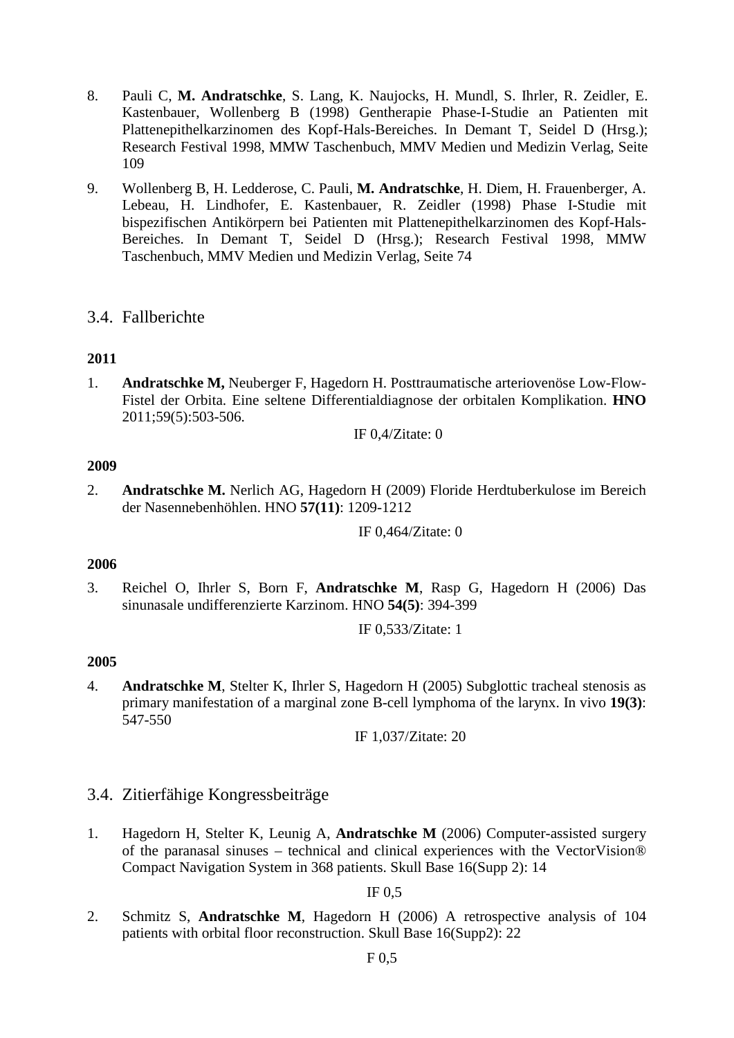- 8. Pauli C, **M. Andratschke**, S. Lang, K. Naujocks, H. Mundl, S. Ihrler, R. Zeidler, E. Kastenbauer, Wollenberg B (1998) Gentherapie Phase-I-Studie an Patienten mit Plattenepithelkarzinomen des Kopf-Hals-Bereiches. In Demant T, Seidel D (Hrsg.); Research Festival 1998, MMW Taschenbuch, MMV Medien und Medizin Verlag, Seite 109
- 9. Wollenberg B, H. Ledderose, C. Pauli, **M. Andratschke**, H. Diem, H. Frauenberger, A. Lebeau, H. Lindhofer, E. Kastenbauer, R. Zeidler (1998) Phase I-Studie mit bispezifischen Antikörpern bei Patienten mit Plattenepithelkarzinomen des Kopf-Hals-Bereiches. In Demant T, Seidel D (Hrsg.); Research Festival 1998, MMW Taschenbuch, MMV Medien und Medizin Verlag, Seite 74

# 3.4. Fallberichte

# **2011**

1. **Andratschke M,** Neuberger F, Hagedorn H. Posttraumatische arteriovenöse Low-Flow-Fistel der Orbita. Eine seltene Differentialdiagnose der orbitalen Komplikation. **HNO** 2011;59(5):503-506.

IF 0,4/Zitate: 0

# **2009**

2. **Andratschke M.** Nerlich AG, Hagedorn H (2009) Floride Herdtuberkulose im Bereich der Nasennebenhöhlen. HNO **57(11)**: 1209-1212

IF 0,464/Zitate: 0

# **2006**

3. Reichel O, Ihrler S, Born F, **Andratschke M**, Rasp G, Hagedorn H (2006) Das sinunasale undifferenzierte Karzinom. HNO **54(5)**: 394-399

IF 0,533/Zitate: 1

# **2005**

4. **Andratschke M**, Stelter K, Ihrler S, Hagedorn H (2005) Subglottic tracheal stenosis as primary manifestation of a marginal zone B-cell lymphoma of the larynx. In vivo **19(3)**: 547-550

IF 1,037/Zitate: 20

- 3.4. Zitierfähige Kongressbeiträge
- 1. Hagedorn H, Stelter K, Leunig A, **Andratschke M** (2006) Computer-assisted surgery of the paranasal sinuses – technical and clinical experiences with the VectorVision® Compact Navigation System in 368 patients. Skull Base 16(Supp 2): 14

IF 0,5

2. Schmitz S, **Andratschke M**, Hagedorn H (2006) A retrospective analysis of 104 patients with orbital floor reconstruction. Skull Base 16(Supp2): 22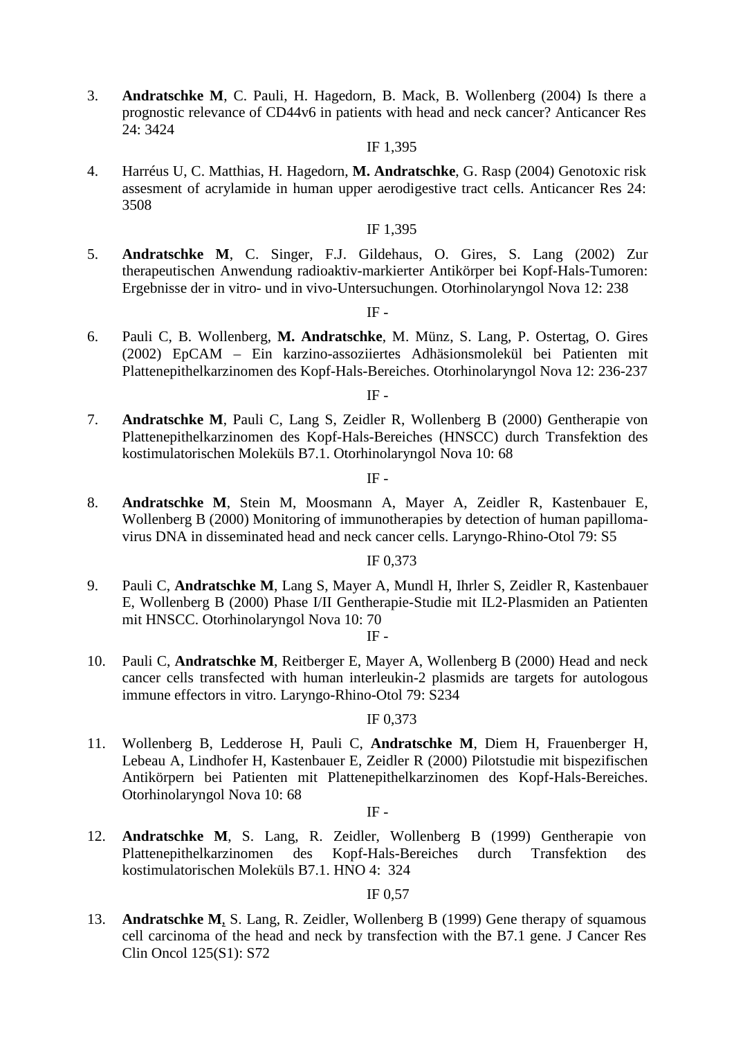3. **Andratschke M**, C. Pauli, H. Hagedorn, B. Mack, B. Wollenberg (2004) Is there a prognostic relevance of CD44v6 in patients with head and neck cancer? Anticancer Res 24: 3424

#### IF 1,395

4. Harréus U, C. Matthias, H. Hagedorn, **M. Andratschke**, G. Rasp (2004) Genotoxic risk assesment of acrylamide in human upper aerodigestive tract cells. Anticancer Res 24: 3508

### IF 1,395

5. **Andratschke M**, C. Singer, F.J. Gildehaus, O. Gires, S. Lang (2002) Zur therapeutischen Anwendung radioaktiv-markierter Antikörper bei Kopf-Hals-Tumoren: Ergebnisse der in vitro- und in vivo-Untersuchungen. Otorhinolaryngol Nova 12: 238

# $IF -$

6. Pauli C, B. Wollenberg, **M. Andratschke**, M. Münz, S. Lang, P. Ostertag, O. Gires (2002) EpCAM – Ein karzino-assoziiertes Adhäsionsmolekül bei Patienten mit Plattenepithelkarzinomen des Kopf-Hals-Bereiches. Otorhinolaryngol Nova 12: 236-237

## $IF -$

7. **Andratschke M**, Pauli C, Lang S, Zeidler R, Wollenberg B (2000) Gentherapie von Plattenepithelkarzinomen des Kopf-Hals-Bereiches (HNSCC) durch Transfektion des kostimulatorischen Moleküls B7.1. Otorhinolaryngol Nova 10: 68

### IF -

8. **Andratschke M**, Stein M, Moosmann A, Mayer A, Zeidler R, Kastenbauer E, Wollenberg B (2000) Monitoring of immunotherapies by detection of human papillomavirus DNA in disseminated head and neck cancer cells. Laryngo-Rhino-Otol 79: S5

## IF 0,373

9. Pauli C, **Andratschke M**, Lang S, Mayer A, Mundl H, Ihrler S, Zeidler R, Kastenbauer E, Wollenberg B (2000) Phase I/II Gentherapie-Studie mit IL2-Plasmiden an Patienten mit HNSCC. Otorhinolaryngol Nova 10: 70

### IF -

10. Pauli C, **Andratschke M**, Reitberger E, Mayer A, Wollenberg B (2000) Head and neck cancer cells transfected with human interleukin-2 plasmids are targets for autologous immune effectors in vitro. Laryngo-Rhino-Otol 79: S234

### IF 0,373

11. Wollenberg B, Ledderose H, Pauli C, **Andratschke M**, Diem H, Frauenberger H, Lebeau A, Lindhofer H, Kastenbauer E, Zeidler R (2000) Pilotstudie mit bispezifischen Antikörpern bei Patienten mit Plattenepithelkarzinomen des Kopf-Hals-Bereiches. Otorhinolaryngol Nova 10: 68

### $\rm IF$  -

12. **Andratschke M**, S. Lang, R. Zeidler, Wollenberg B (1999) Gentherapie von Plattenepithelkarzinomen des Kopf-Hals-Bereiches durch Transfektion des kostimulatorischen Moleküls B7.1. HNO 4: 324

### IF 0,57

13. **Andratschke M**, S. Lang, R. Zeidler, Wollenberg B (1999) Gene therapy of squamous cell carcinoma of the head and neck by transfection with the B7.1 gene. J Cancer Res Clin Oncol 125(S1): S72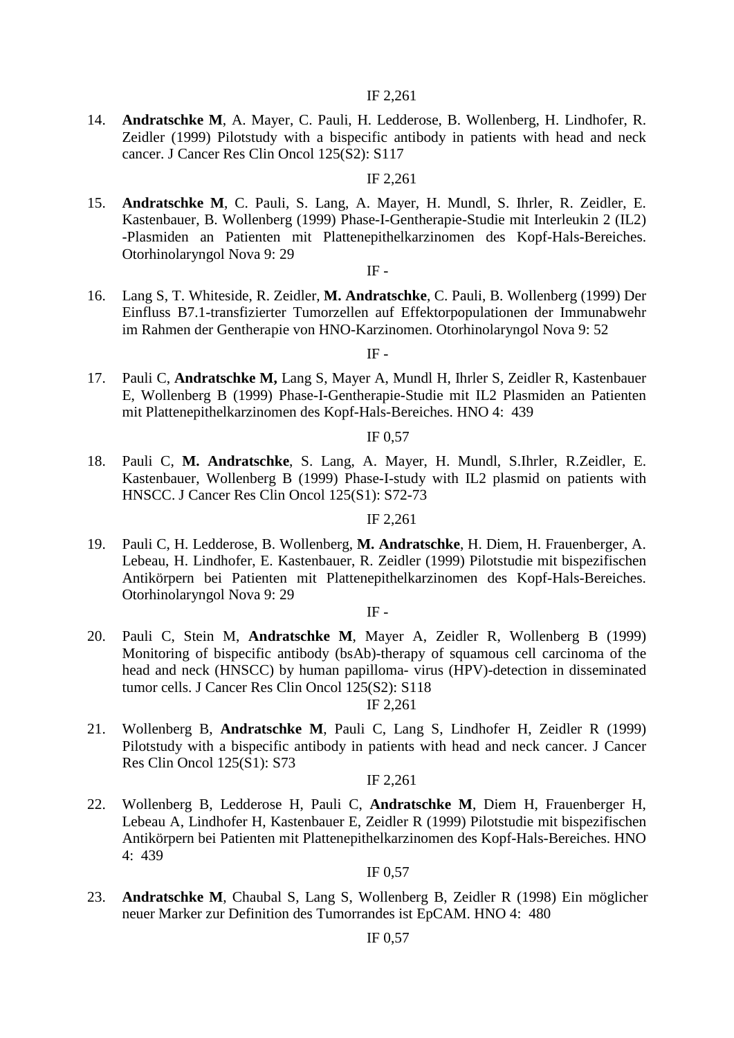### IF 2,261

14. **Andratschke M**, A. Mayer, C. Pauli, H. Ledderose, B. Wollenberg, H. Lindhofer, R. Zeidler (1999) Pilotstudy with a bispecific antibody in patients with head and neck cancer. J Cancer Res Clin Oncol 125(S2): S117

### IF 2,261

15. **Andratschke M**, C. Pauli, S. Lang, A. Mayer, H. Mundl, S. Ihrler, R. Zeidler, E. Kastenbauer, B. Wollenberg (1999) Phase-I-Gentherapie-Studie mit Interleukin 2 (IL2) -Plasmiden an Patienten mit Plattenepithelkarzinomen des Kopf-Hals-Bereiches. Otorhinolaryngol Nova 9: 29

#### $IF -$

16. Lang S, T. Whiteside, R. Zeidler, **M. Andratschke**, C. Pauli, B. Wollenberg (1999) Der Einfluss B7.1-transfizierter Tumorzellen auf Effektorpopulationen der Immunabwehr im Rahmen der Gentherapie von HNO-Karzinomen. Otorhinolaryngol Nova 9: 52

### IF -

17. Pauli C, **Andratschke M,** Lang S, Mayer A, Mundl H, Ihrler S, Zeidler R, Kastenbauer E, Wollenberg B (1999) Phase-I-Gentherapie-Studie mit IL2 Plasmiden an Patienten mit Plattenepithelkarzinomen des Kopf-Hals-Bereiches. HNO 4: 439

### IF 0,57

18. Pauli C, **M. Andratschke**, S. Lang, A. Mayer, H. Mundl, S.Ihrler, R.Zeidler, E. Kastenbauer, Wollenberg B (1999) Phase-I-study with IL2 plasmid on patients with HNSCC. J Cancer Res Clin Oncol 125(S1): S72-73

#### IF 2,261

19. Pauli C, H. Ledderose, B. Wollenberg, **M. Andratschke**, H. Diem, H. Frauenberger, A. Lebeau, H. Lindhofer, E. Kastenbauer, R. Zeidler (1999) Pilotstudie mit bispezifischen Antikörpern bei Patienten mit Plattenepithelkarzinomen des Kopf-Hals-Bereiches. Otorhinolaryngol Nova 9: 29

IF -

20. Pauli C, Stein M, **Andratschke M**, Mayer A, Zeidler R, Wollenberg B (1999) Monitoring of bispecific antibody (bsAb)-therapy of squamous cell carcinoma of the head and neck (HNSCC) by human papilloma- virus (HPV)-detection in disseminated tumor cells. J Cancer Res Clin Oncol 125(S2): S118

### IF 2,261

21. Wollenberg B, **Andratschke M**, Pauli C, Lang S, Lindhofer H, Zeidler R (1999) Pilotstudy with a bispecific antibody in patients with head and neck cancer. J Cancer Res Clin Oncol 125(S1): S73

#### IF 2,261

22. Wollenberg B, Ledderose H, Pauli C, **Andratschke M**, Diem H, Frauenberger H, Lebeau A, Lindhofer H, Kastenbauer E, Zeidler R (1999) Pilotstudie mit bispezifischen Antikörpern bei Patienten mit Plattenepithelkarzinomen des Kopf-Hals-Bereiches. HNO 4: 439

### IF 0,57

23. **Andratschke M**, Chaubal S, Lang S, Wollenberg B, Zeidler R (1998) Ein möglicher neuer Marker zur Definition des Tumorrandes ist EpCAM. HNO 4: 480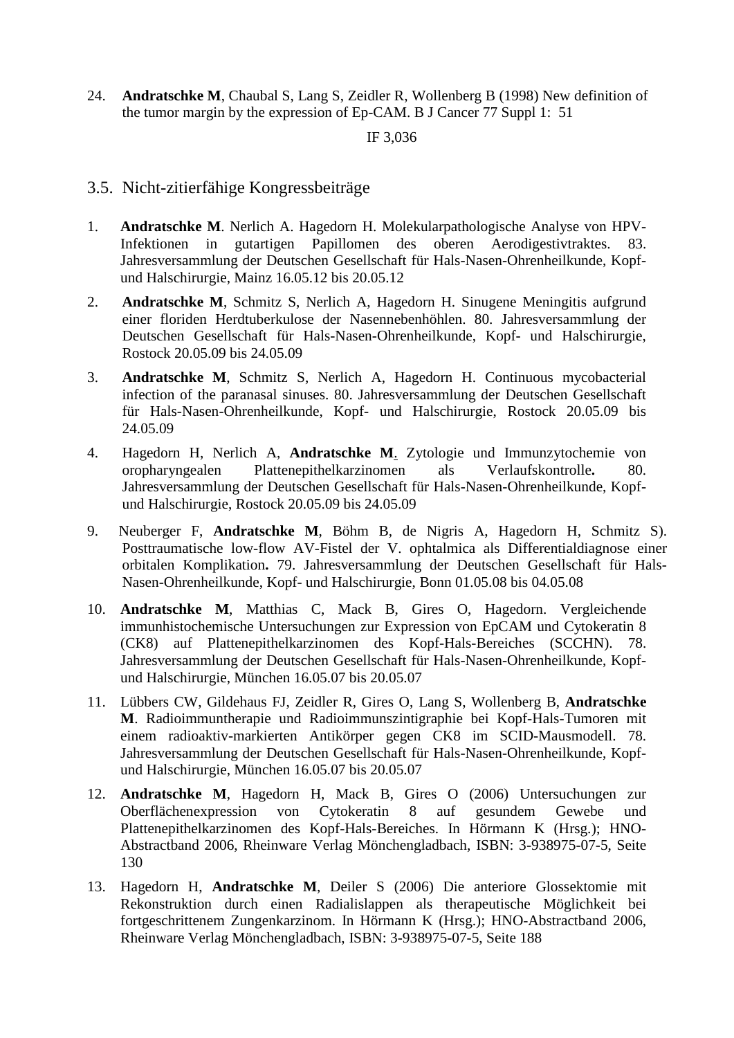24. **Andratschke M**, Chaubal S, Lang S, Zeidler R, Wollenberg B (1998) New definition of the tumor margin by the expression of Ep-CAM. B J Cancer 77 Suppl 1: 51

## IF 3,036

- 3.5. Nicht-zitierfähige Kongressbeiträge
- 1. **Andratschke M**. Nerlich A. Hagedorn H. Molekularpathologische Analyse von HPV-Infektionen in gutartigen Papillomen des oberen Aerodigestivtraktes. 83. Jahresversammlung der Deutschen Gesellschaft für Hals-Nasen-Ohrenheilkunde, Kopfund Halschirurgie, Mainz 16.05.12 bis 20.05.12
- 2. **Andratschke M**, Schmitz S, Nerlich A, Hagedorn H. Sinugene Meningitis aufgrund einer floriden Herdtuberkulose der Nasennebenhöhlen. 80. Jahresversammlung der Deutschen Gesellschaft für Hals-Nasen-Ohrenheilkunde, Kopf- und Halschirurgie, Rostock 20.05.09 bis 24.05.09
- 3. **Andratschke M**, Schmitz S, Nerlich A, Hagedorn H. Continuous mycobacterial infection of the paranasal sinuses. 80. Jahresversammlung der Deutschen Gesellschaft für Hals-Nasen-Ohrenheilkunde, Kopf- und Halschirurgie, Rostock 20.05.09 bis 24.05.09
- 4. Hagedorn H, Nerlich A, **Andratschke M**. Zytologie und Immunzytochemie von oropharyngealen Plattenepithelkarzinomen als Verlaufskontrolle**.** 80. Jahresversammlung der Deutschen Gesellschaft für Hals-Nasen-Ohrenheilkunde, Kopfund Halschirurgie, Rostock 20.05.09 bis 24.05.09
- 9. Neuberger F, **Andratschke M**, Böhm B, de Nigris A, Hagedorn H, Schmitz S). Posttraumatische low-flow AV-Fistel der V. ophtalmica als Differentialdiagnose einer orbitalen Komplikation**.** 79. Jahresversammlung der Deutschen Gesellschaft für Hals-Nasen-Ohrenheilkunde, Kopf- und Halschirurgie, Bonn 01.05.08 bis 04.05.08
- 10. **Andratschke M**, Matthias C, Mack B, Gires O, Hagedorn. Vergleichende immunhistochemische Untersuchungen zur Expression von EpCAM und Cytokeratin 8 (CK8) auf Plattenepithelkarzinomen des Kopf-Hals-Bereiches (SCCHN). 78. Jahresversammlung der Deutschen Gesellschaft für Hals-Nasen-Ohrenheilkunde, Kopfund Halschirurgie, München 16.05.07 bis 20.05.07
- 11. Lübbers CW, Gildehaus FJ, Zeidler R, Gires O, Lang S, Wollenberg B, **Andratschke M**. Radioimmuntherapie und Radioimmunszintigraphie bei Kopf-Hals-Tumoren mit einem radioaktiv-markierten Antikörper gegen CK8 im SCID-Mausmodell. 78. Jahresversammlung der Deutschen Gesellschaft für Hals-Nasen-Ohrenheilkunde, Kopfund Halschirurgie, München 16.05.07 bis 20.05.07
- 12. **Andratschke M**, Hagedorn H, Mack B, Gires O (2006) Untersuchungen zur Oberflächenexpression von Cytokeratin 8 auf gesundem Gewebe und Plattenepithelkarzinomen des Kopf-Hals-Bereiches. In Hörmann K (Hrsg.); HNO-Abstractband 2006, Rheinware Verlag Mönchengladbach, ISBN: 3-938975-07-5, Seite 130
- 13. Hagedorn H, **Andratschke M**, Deiler S (2006) Die anteriore Glossektomie mit Rekonstruktion durch einen Radialislappen als therapeutische Möglichkeit bei fortgeschrittenem Zungenkarzinom. In Hörmann K (Hrsg.); HNO-Abstractband 2006, Rheinware Verlag Mönchengladbach, ISBN: 3-938975-07-5, Seite 188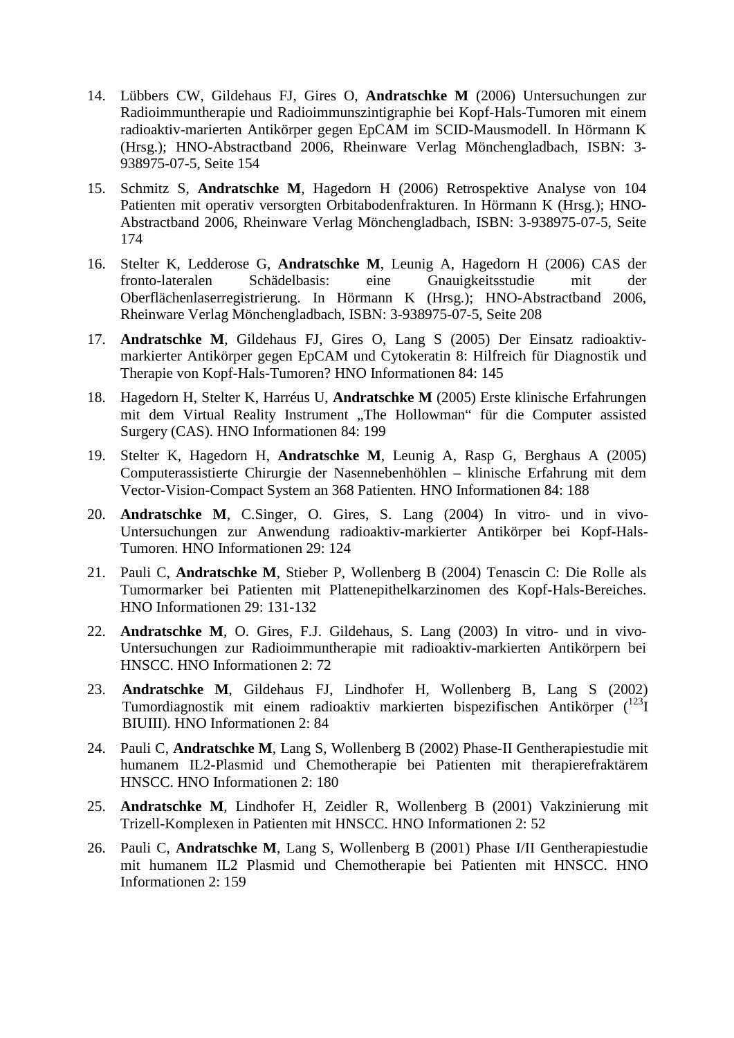- 14. Lübbers CW, Gildehaus FJ, Gires O, **Andratschke M** (2006) Untersuchungen zur Radioimmuntherapie und Radioimmunszintigraphie bei Kopf-Hals-Tumoren mit einem radioaktiv-marierten Antikörper gegen EpCAM im SCID-Mausmodell. In Hörmann K (Hrsg.); HNO-Abstractband 2006, Rheinware Verlag Mönchengladbach, ISBN: 3- 938975-07-5, Seite 154
- 15. Schmitz S, **Andratschke M**, Hagedorn H (2006) Retrospektive Analyse von 104 Patienten mit operativ versorgten Orbitabodenfrakturen. In Hörmann K (Hrsg.); HNO-Abstractband 2006, Rheinware Verlag Mönchengladbach, ISBN: 3-938975-07-5, Seite 174
- 16. Stelter K, Ledderose G, **Andratschke M**, Leunig A, Hagedorn H (2006) CAS der fronto-lateralen Schädelbasis: eine Gnauigkeitsstudie mit der Oberflächenlaserregistrierung. In Hörmann K (Hrsg.); HNO-Abstractband 2006, Rheinware Verlag Mönchengladbach, ISBN: 3-938975-07-5, Seite 208
- 17. **Andratschke M**, Gildehaus FJ, Gires O, Lang S (2005) Der Einsatz radioaktivmarkierter Antikörper gegen EpCAM und Cytokeratin 8: Hilfreich für Diagnostik und Therapie von Kopf-Hals-Tumoren? HNO Informationen 84: 145
- 18. Hagedorn H, Stelter K, Harréus U, **Andratschke M** (2005) Erste klinische Erfahrungen mit dem Virtual Reality Instrument "The Hollowman" für die Computer assisted Surgery (CAS). HNO Informationen 84: 199
- 19. Stelter K, Hagedorn H, **Andratschke M**, Leunig A, Rasp G, Berghaus A (2005) Computerassistierte Chirurgie der Nasennebenhöhlen – klinische Erfahrung mit dem Vector-Vision-Compact System an 368 Patienten. HNO Informationen 84: 188
- 20. **Andratschke M**, C.Singer, O. Gires, S. Lang (2004) In vitro- und in vivo-Untersuchungen zur Anwendung radioaktiv-markierter Antikörper bei Kopf-Hals-Tumoren. HNO Informationen 29: 124
- 21. Pauli C, **Andratschke M**, Stieber P, Wollenberg B (2004) Tenascin C: Die Rolle als Tumormarker bei Patienten mit Plattenepithelkarzinomen des Kopf-Hals-Bereiches. HNO Informationen 29: 131-132
- 22. **Andratschke M**, O. Gires, F.J. Gildehaus, S. Lang (2003) In vitro- und in vivo-Untersuchungen zur Radioimmuntherapie mit radioaktiv-markierten Antikörpern bei HNSCC. HNO Informationen 2: 72
- 23. **Andratschke M**, Gildehaus FJ, Lindhofer H, Wollenberg B, Lang S (2002) Tumordiagnostik mit einem radioaktiv markierten bispezifischen Antikörper (123I BIUIII). HNO Informationen 2: 84
- 24. Pauli C, **Andratschke M**, Lang S, Wollenberg B (2002) Phase-II Gentherapiestudie mit humanem IL2-Plasmid und Chemotherapie bei Patienten mit therapierefraktärem HNSCC. HNO Informationen 2: 180
- 25. **Andratschke M**, Lindhofer H, Zeidler R, Wollenberg B (2001) Vakzinierung mit Trizell-Komplexen in Patienten mit HNSCC. HNO Informationen 2: 52
- 26. Pauli C, **Andratschke M**, Lang S, Wollenberg B (2001) Phase I/II Gentherapiestudie mit humanem IL2 Plasmid und Chemotherapie bei Patienten mit HNSCC. HNO Informationen 2: 159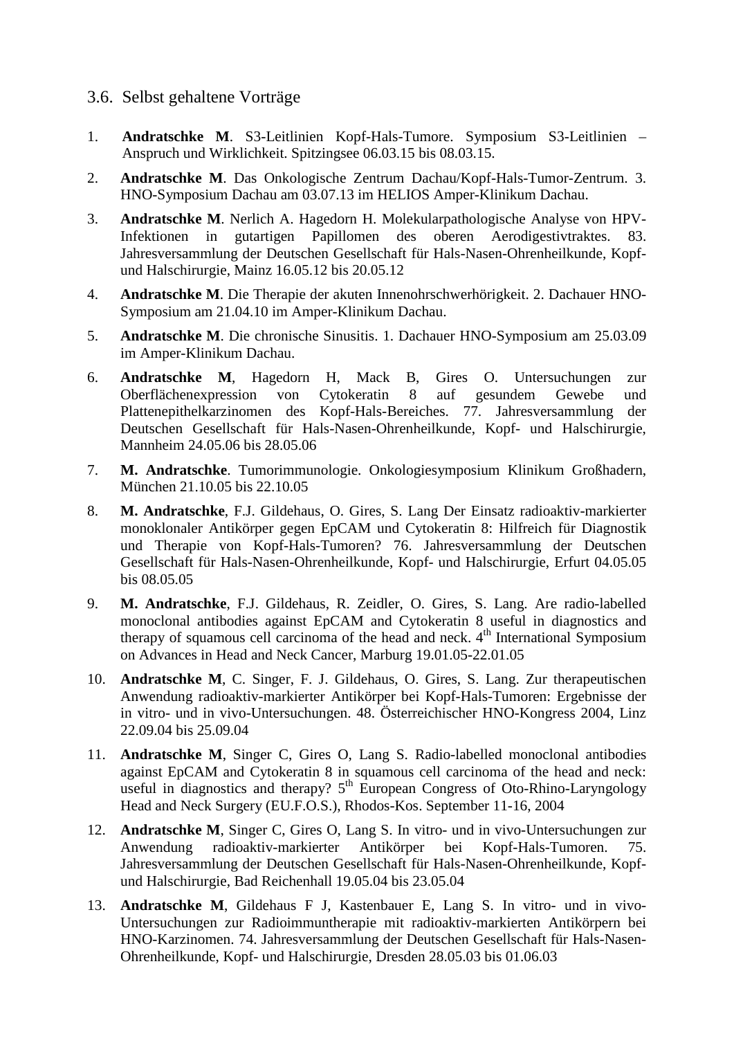# 3.6. Selbst gehaltene Vorträge

- 1. **Andratschke M**. S3-Leitlinien Kopf-Hals-Tumore. Symposium S3-Leitlinien Anspruch und Wirklichkeit. Spitzingsee 06.03.15 bis 08.03.15.
- 2. **Andratschke M**. Das Onkologische Zentrum Dachau/Kopf-Hals-Tumor-Zentrum. 3. HNO-Symposium Dachau am 03.07.13 im HELIOS Amper-Klinikum Dachau.
- 3. **Andratschke M**. Nerlich A. Hagedorn H. Molekularpathologische Analyse von HPV-Infektionen in gutartigen Papillomen des oberen Aerodigestivtraktes. 83. Jahresversammlung der Deutschen Gesellschaft für Hals-Nasen-Ohrenheilkunde, Kopfund Halschirurgie, Mainz 16.05.12 bis 20.05.12
- 4. **Andratschke M**. Die Therapie der akuten Innenohrschwerhörigkeit. 2. Dachauer HNO-Symposium am 21.04.10 im Amper-Klinikum Dachau.
- 5. **Andratschke M**. Die chronische Sinusitis. 1. Dachauer HNO-Symposium am 25.03.09 im Amper-Klinikum Dachau.
- 6. **Andratschke M**, Hagedorn H, Mack B, Gires O. Untersuchungen zur Oberflächenexpression von Cytokeratin 8 auf gesundem Gewebe und Plattenepithelkarzinomen des Kopf-Hals-Bereiches. 77. Jahresversammlung der Deutschen Gesellschaft für Hals-Nasen-Ohrenheilkunde, Kopf- und Halschirurgie, Mannheim 24.05.06 bis 28.05.06
- 7. **M. Andratschke**. Tumorimmunologie. Onkologiesymposium Klinikum Großhadern, München 21.10.05 bis 22.10.05
- 8. **M. Andratschke**, F.J. Gildehaus, O. Gires, S. Lang Der Einsatz radioaktiv-markierter monoklonaler Antikörper gegen EpCAM und Cytokeratin 8: Hilfreich für Diagnostik und Therapie von Kopf-Hals-Tumoren? 76. Jahresversammlung der Deutschen Gesellschaft für Hals-Nasen-Ohrenheilkunde, Kopf- und Halschirurgie, Erfurt 04.05.05 bis 08.05.05
- 9. **M. Andratschke**, F.J. Gildehaus, R. Zeidler, O. Gires, S. Lang. Are radio-labelled monoclonal antibodies against EpCAM and Cytokeratin 8 useful in diagnostics and therapy of squamous cell carcinoma of the head and neck.  $4<sup>th</sup>$  International Symposium on Advances in Head and Neck Cancer, Marburg 19.01.05-22.01.05
- 10. **Andratschke M**, C. Singer, F. J. Gildehaus, O. Gires, S. Lang. Zur therapeutischen Anwendung radioaktiv-markierter Antikörper bei Kopf-Hals-Tumoren: Ergebnisse der in vitro- und in vivo-Untersuchungen. 48. Österreichischer HNO-Kongress 2004, Linz 22.09.04 bis 25.09.04
- 11. **Andratschke M**, Singer C, Gires O, Lang S. Radio-labelled monoclonal antibodies against EpCAM and Cytokeratin 8 in squamous cell carcinoma of the head and neck: useful in diagnostics and therapy?  $5<sup>th</sup>$  European Congress of Oto-Rhino-Laryngology Head and Neck Surgery (EU.F.O.S.), Rhodos-Kos. September 11-16, 2004
- 12. **Andratschke M**, Singer C, Gires O, Lang S. In vitro- und in vivo-Untersuchungen zur Anwendung radioaktiv-markierter Antikörper bei Kopf-Hals-Tumoren. 75. Jahresversammlung der Deutschen Gesellschaft für Hals-Nasen-Ohrenheilkunde, Kopfund Halschirurgie, Bad Reichenhall 19.05.04 bis 23.05.04
- 13. **Andratschke M**, Gildehaus F J, Kastenbauer E, Lang S. In vitro- und in vivo-Untersuchungen zur Radioimmuntherapie mit radioaktiv-markierten Antikörpern bei HNO-Karzinomen. 74. Jahresversammlung der Deutschen Gesellschaft für Hals-Nasen-Ohrenheilkunde, Kopf- und Halschirurgie, Dresden 28.05.03 bis 01.06.03